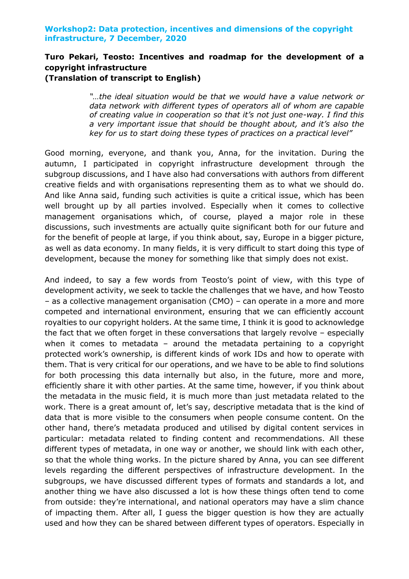## **Workshop2: Data protection, incentives and dimensions of the copyright infrastructure, 7 December, 2020**

## **Turo Pekari, Teosto: Incentives and roadmap for the development of a copyright infrastructure (Translation of transcript to English)**

*"…the ideal situation would be that we would have a value network or data network with different types of operators all of whom are capable of creating value in cooperation so that it's not just one-way. I find this a very important issue that should be thought about, and it's also the key for us to start doing these types of practices on a practical level"*

Good morning, everyone, and thank you, Anna, for the invitation. During the autumn, I participated in copyright infrastructure development through the subgroup discussions, and I have also had conversations with authors from different creative fields and with organisations representing them as to what we should do. And like Anna said, funding such activities is quite a critical issue, which has been well brought up by all parties involved. Especially when it comes to collective management organisations which, of course, played a major role in these discussions, such investments are actually quite significant both for our future and for the benefit of people at large, if you think about, say, Europe in a bigger picture, as well as data economy. In many fields, it is very difficult to start doing this type of development, because the money for something like that simply does not exist.

And indeed, to say a few words from Teosto's point of view, with this type of development activity, we seek to tackle the challenges that we have, and how Teosto – as a collective management organisation (CMO) – can operate in a more and more competed and international environment, ensuring that we can efficiently account royalties to our copyright holders. At the same time, I think it is good to acknowledge the fact that we often forget in these conversations that largely revolve – especially when it comes to metadata – around the metadata pertaining to a copyright protected work's ownership, is different kinds of work IDs and how to operate with them. That is very critical for our operations, and we have to be able to find solutions for both processing this data internally but also, in the future, more and more, efficiently share it with other parties. At the same time, however, if you think about the metadata in the music field, it is much more than just metadata related to the work. There is a great amount of, let's say, descriptive metadata that is the kind of data that is more visible to the consumers when people consume content. On the other hand, there's metadata produced and utilised by digital content services in particular: metadata related to finding content and recommendations. All these different types of metadata, in one way or another, we should link with each other, so that the whole thing works. In the picture shared by Anna, you can see different levels regarding the different perspectives of infrastructure development. In the subgroups, we have discussed different types of formats and standards a lot, and another thing we have also discussed a lot is how these things often tend to come from outside: they're international, and national operators may have a slim chance of impacting them. After all, I guess the bigger question is how they are actually used and how they can be shared between different types of operators. Especially in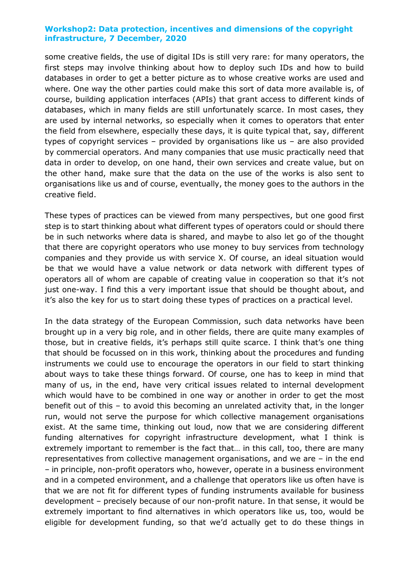## **Workshop2: Data protection, incentives and dimensions of the copyright infrastructure, 7 December, 2020**

some creative fields, the use of digital IDs is still very rare: for many operators, the first steps may involve thinking about how to deploy such IDs and how to build databases in order to get a better picture as to whose creative works are used and where. One way the other parties could make this sort of data more available is, of course, building application interfaces (APIs) that grant access to different kinds of databases, which in many fields are still unfortunately scarce. In most cases, they are used by internal networks, so especially when it comes to operators that enter the field from elsewhere, especially these days, it is quite typical that, say, different types of copyright services – provided by organisations like us – are also provided by commercial operators. And many companies that use music practically need that data in order to develop, on one hand, their own services and create value, but on the other hand, make sure that the data on the use of the works is also sent to organisations like us and of course, eventually, the money goes to the authors in the creative field.

These types of practices can be viewed from many perspectives, but one good first step is to start thinking about what different types of operators could or should there be in such networks where data is shared, and maybe to also let go of the thought that there are copyright operators who use money to buy services from technology companies and they provide us with service X. Of course, an ideal situation would be that we would have a value network or data network with different types of operators all of whom are capable of creating value in cooperation so that it's not just one-way. I find this a very important issue that should be thought about, and it's also the key for us to start doing these types of practices on a practical level.

In the data strategy of the European Commission, such data networks have been brought up in a very big role, and in other fields, there are quite many examples of those, but in creative fields, it's perhaps still quite scarce. I think that's one thing that should be focussed on in this work, thinking about the procedures and funding instruments we could use to encourage the operators in our field to start thinking about ways to take these things forward. Of course, one has to keep in mind that many of us, in the end, have very critical issues related to internal development which would have to be combined in one way or another in order to get the most benefit out of this – to avoid this becoming an unrelated activity that, in the longer run, would not serve the purpose for which collective management organisations exist. At the same time, thinking out loud, now that we are considering different funding alternatives for copyright infrastructure development, what I think is extremely important to remember is the fact that… in this call, too, there are many representatives from collective management organisations, and we are – in the end – in principle, non-profit operators who, however, operate in a business environment and in a competed environment, and a challenge that operators like us often have is that we are not fit for different types of funding instruments available for business development – precisely because of our non-profit nature. In that sense, it would be extremely important to find alternatives in which operators like us, too, would be eligible for development funding, so that we'd actually get to do these things in